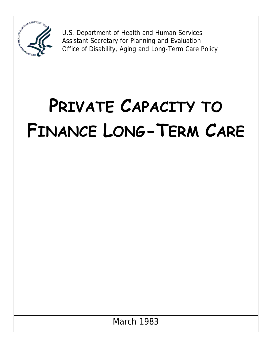

U.S. Department of Health and Human Services Assistant Secretary for Planning and Evaluation Office of Disability, Aging and Long-Term Care Policy

# **PRIVATE CAPACITY TO FINANCE LONG-TERM CARE**

March 1983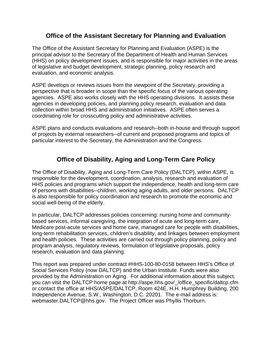## **Office of the Assistant Secretary for Planning and Evaluation**

The Office of the Assistant Secretary for Planning and Evaluation (ASPE) is the principal advisor to the Secretary of the Department of Health and Human Services (HHS) on policy development issues, and is responsible for major activities in the areas of legislative and budget development, strategic planning, policy research and evaluation, and economic analysis.

ASPE develops or reviews issues from the viewpoint of the Secretary, providing a perspective that is broader in scope than the specific focus of the various operating agencies. ASPE also works closely with the HHS operating divisions. It assists these agencies in developing policies, and planning policy research, evaluation and data collection within broad HHS and administration initiatives. ASPE often serves a coordinating role for crosscutting policy and administrative activities.

ASPE plans and conducts evaluations and research--both in-house and through support of projects by external researchers--of current and proposed programs and topics of particular interest to the Secretary, the Administration and the Congress.

## **Office of Disability, Aging and Long-Term Care Policy**

The Office of Disability, Aging and Long-Term Care Policy (DALTCP), within ASPE, is responsible for the development, coordination, analysis, research and evaluation of HHS policies and programs which support the independence, health and long-term care of persons with disabilities--children, working aging adults, and older persons. DALTCP is also responsible for policy coordination and research to promote the economic and social well-being of the elderly.

In particular, DALTCP addresses policies concerning: nursing home and communitybased services, informal caregiving, the integration of acute and long-term care, Medicare post-acute services and home care, managed care for people with disabilities, long-term rehabilitation services, children's disability, and linkages between employment and health policies. These activities are carried out through policy planning, policy and program analysis, regulatory reviews, formulation of legislative proposals, policy research, evaluation and data planning.

This report was prepared under contract #HHS-100-80-0158 between HHS's Office of Social Services Policy (now DALTCP) and the Urban Institute. Funds were also provided by the Administration on Aging. For additional information about this subject, you can visit the DALTCP home page at http://aspe.hhs.gov/\_/office\_specific/daltcp.cfm or contact the office at HHS/ASPE/DALTCP, Room 424E, H.H. Humphrey Building, 200 Independence Avenue, S.W., Washington, D.C. 20201. The e-mail address is: webmaster.DALTCP@hhs.gov. The Project Officer was Phyllis Thorburn.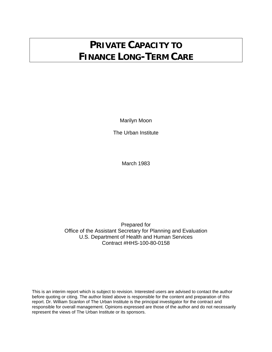# **PRIVATE CAPACITY TO FINANCE LONG-TERM CARE**

Marilyn Moon

The Urban Institute

March 1983

Prepared for Office of the Assistant Secretary for Planning and Evaluation U.S. Department of Health and Human Services Contract #HHS-100-80-0158

This is an interim report which is subject to revision. Interested users are advised to contact the author before quoting or citing. The author listed above is responsible for the content and preparation of this report. Dr. William Scanlon of The Urban Institute is the principal investigator for the contract and responsible for overall management. Opinions expressed are those of the author and do not necessarily represent the views of The Urban Institute or its sponsors.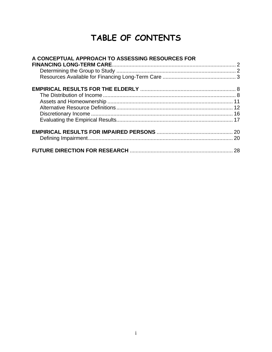# **TABLE OF CONTENTS**

| A CONCEPTUAL APPROACH TO ASSESSING RESOURCES FOR |  |
|--------------------------------------------------|--|
|                                                  |  |
|                                                  |  |
|                                                  |  |
|                                                  |  |
|                                                  |  |
|                                                  |  |
|                                                  |  |
|                                                  |  |
|                                                  |  |
|                                                  |  |
|                                                  |  |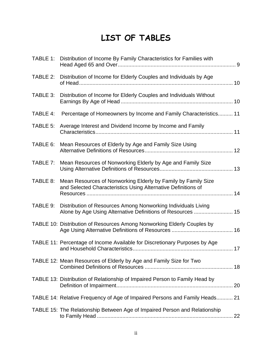# **LIST OF TABLES**

|          | TABLE 1: Distribution of Income By Family Characteristics for Families with                                                    |  |
|----------|--------------------------------------------------------------------------------------------------------------------------------|--|
|          | TABLE 2: Distribution of Income for Elderly Couples and Individuals by Age                                                     |  |
| TABLE 3: | Distribution of Income for Elderly Couples and Individuals Without                                                             |  |
| TABLE 4: | Percentage of Homeowners by Income and Family Characteristics 11                                                               |  |
| TABLE 5: | Average Interest and Dividend Income by Income and Family                                                                      |  |
| TABLE 6: | Mean Resources of Elderly by Age and Family Size Using                                                                         |  |
| TABLE 7: | Mean Resources of Nonworking Elderly by Age and Family Size                                                                    |  |
| TABLE 8: | Mean Resources of Nonworking Elderly by Family by Family Size<br>and Selected Characteristics Using Alternative Definitions of |  |
| TABLE 9: | Distribution of Resources Among Nonworking Individuals Living<br>Alone by Age Using Alternative Definitions of Resources  15   |  |
|          | TABLE 10: Distribution of Resources Among Nonworking Elderly Couples by                                                        |  |
|          | TABLE 11: Percentage of Income Available for Discretionary Purposes by Age                                                     |  |
|          | TABLE 12: Mean Resources of Elderly by Age and Family Size for Two                                                             |  |
|          | TABLE 13: Distribution of Relationship of Impaired Person to Family Head by                                                    |  |
|          | TABLE 14: Relative Frequency of Age of Impaired Persons and Family Heads 21                                                    |  |
|          | TABLE 15: The Relationship Between Age of Impaired Person and Relationship                                                     |  |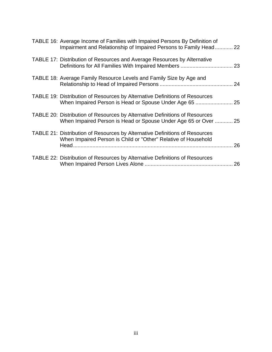| TABLE 16: Average Income of Families with Impaired Persons By Definition of<br>Impairment and Relationship of Impaired Persons to Family Head 22 |    |
|--------------------------------------------------------------------------------------------------------------------------------------------------|----|
| <b>TABLE 17: Distribution of Resources and Average Resources by Alternative</b>                                                                  |    |
| TABLE 18: Average Family Resource Levels and Family Size by Age and                                                                              | 24 |
| TABLE 19: Distribution of Resources by Alternative Definitions of Resources                                                                      |    |
| TABLE 20: Distribution of Resources by Alternative Definitions of Resources<br>When Impaired Person is Head or Spouse Under Age 65 or Over  25   |    |
| TABLE 21: Distribution of Resources by Alternative Definitions of Resources<br>When Impaired Person is Child or "Other" Relative of Household    | 26 |
| TABLE 22: Distribution of Resources by Alternative Definitions of Resources                                                                      | 26 |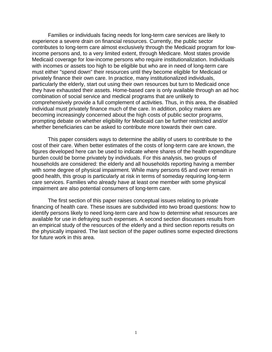Families or individuals facing needs for long-term care services are likely to experience a severe drain on financial resources. Currently, the public sector contributes to long-term care almost exclusively through the Medicaid program for lowincome persons and, to a very limited extent, through Medicare. Most states provide Medicaid coverage for low-income persons who require institutionalization. Individuals with incomes or assets too high to be eligible but who are in need of long-term care must either "spend down" their resources until they become eligible for Medicaid or privately finance their own care. In practice, many institutionalized individuals, particularly the elderly, start out using their own resources but turn to Medicaid once they have exhausted their assets. Home-based care is only available through an ad hoc combination of social service and medical programs that are unlikely to comprehensively provide a full complement of activities. Thus, in this area, the disabled individual must privately finance much of the care. In addition, policy makers are becoming increasingly concerned about the high costs of public sector programs, prompting debate on whether eligibility for Medicaid can be further restricted and/or whether beneficiaries can be asked to contribute more towards their own care.

This paper considers ways to determine the ability of users to contribute to the cost of their care. When better estimates of the costs of long-term care are known, the figures developed here can be used to indicate where shares of the health expenditure burden could be borne privately by individuals. For this analysis, two groups of households are considered: the elderly and all households reporting having a member with some degree of physical impairment. While many persons 65 and over remain in good health, this group is particularly at risk in terms of someday requiring long-term care services. Families who already have at least one member with some physical impairment are also potential consumers of long-term care.

The first section of this paper raises conceptual issues relating to private financing of health care. These issues are subdivided into two broad questions: how to identify persons likely to need long-term care and how to determine what resources are available for use in defraying such expenses. A second section discusses results from an empirical study of the resources of the elderly and a third section reports results on the physically impaired. The last section of the paper outlines some expected directions for future work in this area.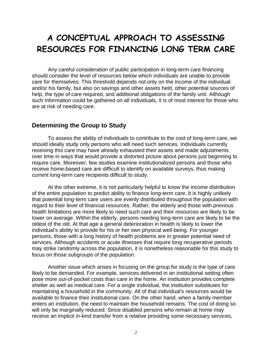# **A CONCEPTUAL APPROACH TO ASSESSING RESOURCES FOR FINANCING LONG TERM CARE**

Any careful consideration of public participation in long-term care financing should consider the level of resources below which individuals are unable to provide care for themselves. This threshold depends not only on the income of the individual and/or his family, but also on savings and other assets held, other potential sources of help, the type of care required, and additional obligations of the family unit. Although such information could be gathered on all individuals, it is of most interest for those who are at risk of needing care.

#### **Determining the Group to Study**

To assess the ability of individuals to contribute to the cost of long-term care, we should ideally study only persons who will need such services. Individuals currently receiving this care may have already exhausted their assets and made adjustments over time in ways that would provide a distorted picture about persons just beginning to require care. Moreover, few studies examine institutionalized persons and those who receive home-based care are difficult to identify on available surveys, thus making current long-term care recipients difficult to study.

At the other extreme, it is not particularly helpful to know the income distribution of the entire population to predict ability to finance long-term care. It is highly unlikely that potential long-term care users are evenly distributed throughout the population with regard to their level of financial resources. Rather, the elderly and those with previous health limitations are more likely to need such care and their resources are likely to be lower on average. Within the elderly, persons needing long-term care are likely to be the oldest of the old. At that age a general deterioration in health is likely to lower the individual's ability to provide for his or her own physical well-being. For younger persons, those with a long history of health problems are in greater potential need of services. Although accidents or acute illnesses that require long recuperative periods may strike randomly across the population, it is nonetheless reasonable for this study to focus on those subgroups of the population.

Another issue which arises in focusing on the group for study is the type of care likely to be demanded. For example, services delivered in an institutional setting often pose more out-of-pocket costs than care in the home. An institution provides complete shelter as well as medical care. For a single individual, the institution substitutes for maintaining a household in the community. All of that individual's resources would be available to finance their institutional care. On the other hand, when a family member enters an institution, the need to maintain the household remains. The cost of doing so will only be marginally reduced. Since disabled persons who remain at home may receive an implicit in-kind transfer from a relative providing some necessary services,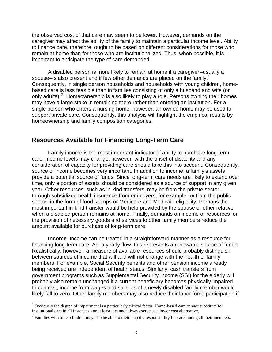the observed cost of that care may seem to be lower. However, demands on the caregiver may affect the ability of the family to maintain a particular income level. Ability to finance care, therefore, ought to be based on different considerations for those who remain at home than for those who are institutionalized. Thus, when possible, it is important to anticipate the type of care demanded.

A disabled person is more likely to remain at home if a caregiver--usually a spouse--is also present and if few other demands are placed on the family.<sup>[1](#page-8-0)</sup> Consequently, in single person households and households with young children, homebased care is less feasible than in families consisting of only a husband and wife (or only adults).  $2$  Homeownership is also likely to play a role. Persons owning their homes may have a large stake in remaining there rather than entering an institution. For a single person who enters a nursing home, however, an owned home may be used to support private care. Consequently, this analysis will highlight the empirical results by homeownership and family composition categories.

#### **Resources Available for Financing Long-Term Care**

Family income is the most important indicator of ability to purchase long-term care. Income levels may change, however, with the onset of disability and any consideration of capacity for providing care should take this into account. Consequently, source of income becomes very important. In addition to income, a family's assets provide a potential source of funds. Since long-term care needs are likely to extend over time, only a portion of assets should be considered as a source of support in any given year. Other resources, such as in-kind transfers, may be from the private sector- through subsidized health insurance from employers, for example--or from the public sector--in the form of food stamps or Medicare and Medicaid eligibility. Perhaps the most important in-kind transfer would be help provided by the spouse or other relative when a disabled person remains at home. Finally, demands on income or resources for the provision of necessary goods and services to other family members reduce the amount available for purchase of long-term care.

**Income**. Income can be treated in a straightforward manner as a resource for financing long-term care. As, a yearly flow, this represents a renewable source of funds. Realistically, however, a measure of available resources should probably distinguish between sources of income that will and will not change with the health of family members. For example, Social Security benefits and other pension income already being received are independent of health status. Similarly, cash transfers from government programs such as Supplemental Security Income (SSI) for the elderly will probably also remain unchanged if a current beneficiary becomes physically impaired. In contrast, income from wages and salaries of a newly disabled family member would likely fall to zero. Other family members may also reduce their labor force participation if

<span id="page-8-0"></span><sup>&</sup>lt;sup>1</sup> Obviously the degree of impairment is a particularly critical factor. Home-based care cannot substitute for institutional care in all instances - or at least it cannot always serve as a lower cost alternative. 2

<span id="page-8-1"></span><sup>&</sup>lt;sup>2</sup> Families with older children may also be able to divide up the responsibility for care among all their members.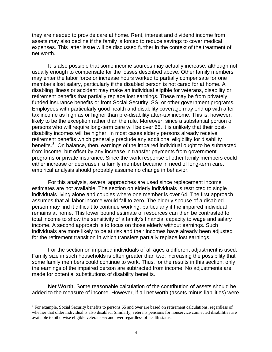they are needed to provide care at home. Rent, interest and dividend income from assets may also decline if the family is forced to reduce savings to cover medical expenses. This latter issue will be discussed further in the context of the treatment of net worth.

It is also possible that some income sources may actually increase, although not usually enough to compensate for the losses described above. Other family members may enter the labor force or increase hours worked to partially compensate for one member's lost salary, particularly if the disabled person is not cared for at home. A disabling illness or accident may make an individual eligible for veterans, disability or retirement benefits that partially replace lost earnings. These may be from privately funded insurance benefits or from Social Security, SSI or other government programs. Employees with particularly good health and disability coverage may end up with aftertax income as high as or higher than pre-disability after-tax income. This is, however, likely to be the exception rather than the rule. Moreover, since a substantial portion of persons who will require long-term care will be over 65, it is unlikely that their postdisability incomes will be higher. In most cases elderly persons already receive retirement benefits which generally preclude any additional eligibility for disability benefits. $3$  On balance, then, earnings of the impaired individual ought to be subtracted from income, but offset by any increase in transfer payments from government programs or private insurance. Since the work response of other family members could either increase or decrease if a family member became in need of long-term care, empirical analysis should probably assume no change in behavior.

For this analysis, several approaches are used since replacement income estimates are not available. The section on elderly individuals is restricted to single individuals living alone and couples where one member is over 64. The first approach assumes that all labor income would fall to zero. The elderly spouse of a disabled person may find it difficult to continue working, particularly if the impaired individual remains at home. This lower bound estimate of resources can then be contrasted to total income to show the sensitivity of a family's financial capacity to wage and salary income. A second approach is to focus on those elderly without earnings. Such individuals are more likely to be at risk and their incomes have already been adjusted for the retirement transition in which transfers partially replace lost earnings.

For the section on impaired individuals of all ages a different adjustment is used. Family size in such households is often greater than two, increasing the possibility that some family members could continue to work. Thus, for the results in this section, only the earnings of the impaired person are subtracted from income. No adjustments are made for potential substitutions of disability benefits.

**Net Worth**. Some reasonable calculation of the contribution of assets should be added to the measure of income. However, if all net worth (assets minus liabilities) were

<span id="page-9-0"></span> $3$  For example, Social Security benefits to persons 65 and over are based on retirement calculations, regardless of whether that older individual is also disabled. Similarly, veterans pensions for nonservice connected disabilities are available to otherwise eligible veterans 65 and over regardless of health status.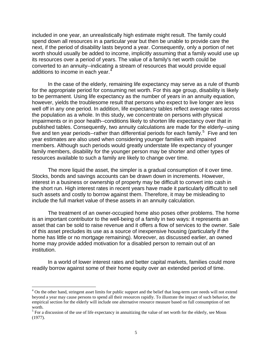included in one year, an unrealistically high estimate might result. The family could spend down all resources in a particular year but then be unable to provide care the next, if the period of disability lasts beyond a year. Consequently, only a portion of net worth should usually be added to income, implicitly assuming that a family would use up its resources over a period of years. The value of a family's net worth could be converted to an annuity--indicating a stream of resources that would provide equal additions to income in each year.<sup>[4](#page-10-0)</sup>

In the case of the elderly, remaining life expectancy may serve as a rule of thumb for the appropriate period for consuming net worth. For this age group, disability is likely to be permanent. Using life expectancy as the number of years in an annuity equation, however, yields the troublesome result that persons who expect to live longer are less well off in any one period. In addition, life expectancy tables reflect average rates across the population as a whole. In this study, we concentrate on persons with physical impairments or in poor health--conditions likely to shorten life expectancy over that in published tables. Consequently, two annuity calculations are made for the elderly--using five and ten year periods--rather than differential periods for each family.<sup>[5](#page-10-1)</sup> Five and ten year estimates are also used when considering younger families with impaired members. Although such periods would greatly understate life expectancy of younger family members, disability for the younger person may be shorter and other types of resources available to such a family are likely to change over time.

The more liquid the asset, the simpler is a gradual consumption of it over time. Stocks, bonds and savings accounts can be drawn down in increments. However, interest in a business or ownership of property may be difficult to convert into cash in the short run. High interest rates in recent years have made it particularly difficult to sell such assets and costly to borrow against them. Therefore, it may be misleading to include the full market value of these assets in an annuity calculation.

The treatment of an owner-occupied home also poses other problems. The home is an important contributor to the well-being of a family in two ways: it represents an asset that can be sold to raise revenue and it offers a flow of services to the owner. Sale of this asset precludes its use as a source of inexpensive housing (particularly if the home has little or no mortgage remaining). Moreover, as discussed earlier, an owned home may provide added motivation for a disabled person to remain out of an institution.

In a world of lower interest rates and better capital markets, families could more readily borrow against some of their home equity over an extended period of time.

<span id="page-10-0"></span><sup>&</sup>lt;sup>4</sup> On the other hand, stringent asset limits for public support and the belief that long-term care needs will not extend beyond a year may cause persons to spend all their resources rapidly. To illustrate the impact of such behavior, the empirical section for the elderly will include one alternative resource measure based on full consumption of net worth.

<span id="page-10-1"></span> $<sup>5</sup>$  For a discussion of the use of life expectancy in annuitizing the value of net worth for the elderly, see Moon</sup> (1977).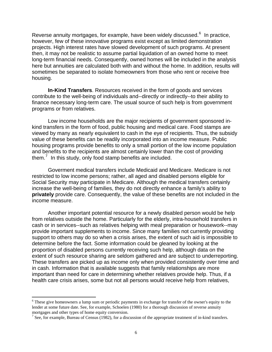Reverse annuity mortgages, for example, have been widely discussed.<sup>[6](#page-11-0)</sup> In practice, however, few of these innovative programs exist except as limited demonstration projects. High interest rates have slowed development of such programs. At present then, it may not be realistic to assume partial liquidation of an owned home to meet long-term financial needs. Consequently, owned homes will be included in the analysis here but annuities are calculated both with and without the home. In addition, results will sometimes be separated to isolate homeowners from those who rent or receive free housing.

**In-Kind Transfers**. Resources received in the form of goods and services contribute to the well-being of individuals and--directly or indirectly--to their ability to finance necessary long-term care. The usual source of such help is from government programs or from relatives.

Low income households are the major recipients of government sponsored inkind transfers in the form of food, public housing and medical care. Food stamps are viewed by many as nearly equivalent to cash in the eye of recipients. Thus, the subsidy value of these benefits can be readily incorporated into an income measure. Public housing programs provide benefits to only a small portion of the low income population and benefits to the recipients are almost certainly lower than the cost of providing them. $<sup>7</sup>$  $<sup>7</sup>$  $<sup>7</sup>$  In this study, only food stamp benefits are included.</sup>

Goverment medical transfers include Medicaid and Medicare. Medicare is not restricted to low income persons; rather, all aged and disabled persons eligible for Social Security may participate in Medicare. Although the medical transfers certainly increase the well-being of families, they do not directly enhance a family's ability to **privately** provide care. Consequently, the value of these benefits are not included in the income measure.

Another important potential resource for a newly disabled person would be help from relatives outside the home. Particularly for the elderly, intra-household transfers in cash or in services--such as relatives helping with meal preparation or housework--may provide important supplements to income. Since many families not currently providing support to others may do so when a crisis arises, the extent of such aid is impossible to determine before the fact. Some information could be gleaned by looking at the proportion of disabled persons currently receiving such help, although data on the extent of such resource sharing are seldom gathered and are subject to underreporting. These transfers are picked up as income only when provided consistently over time and in cash. Information that is available suggests that family relationships are more important than need for care in determining whether relatives provide help. Thus, if a health care crisis arises, some but not all persons would receive help from relatives,

<span id="page-11-0"></span><sup>&</sup>lt;sup>6</sup> These give homeowners a lump sum or periodic payments in exchange for transfer of the owner's equity to the lender at some future date. See, for example, Schoelen (1980) for a thorough discussion of reverse annuity mortgages and other types of home equity conversion.

<span id="page-11-1"></span> $^7$  See, for example, Bureau of Census (1982), for a discussion of the appropriate treatment of in-kind transfers.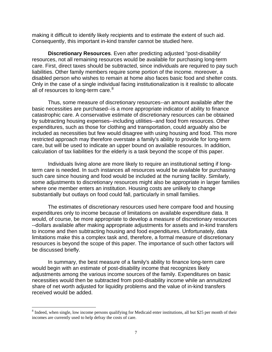making it difficult to identify likely recipients and to estimate the extent of such aid. Consequently, this important in-kind transfer cannot be studied here.

**Discretionary Resources**. Even after predicting adjusted "post-disability' resources, not all remaining resources would be available for purchasing long-term care. First, direct taxes should be subtracted, since individuals are required to pay such liabilities. Other family members require some portion of the income. moreover, a disabled person who wishes to remain at home also faces basic food and shelter costs. Only in the case of a single individual facing institutionalization is it realistic to allocate all of resources to long-term care.<sup>[8](#page-12-0)</sup>

Thus, some measure of discretionary resources--an amount available after the basic necessities are purchased--is a more appropriate indicator of ability to finance catastrophic care. A conservative estimate of discretionary resources can be obtained by subtracting housing expenses--including utilities--and food from resources. Other expenditures, such as those for clothing and transportation, could arguably also be included as necessities but few would disagree with using housing and food. This more restricted approach may therefore overstate a family's ability to provide for long-term care, but will be used to indicate an upper bound on available resources. In addition, calculation of tax liabilities for the elderly is a task beyond the scope of this paper.

Individuals living alone are more likely to require an institutional setting if longterm care is needed. In such instances all resources would be available for purchasing such care since housing and food would be included at the nursing facility. Similarly, some adjustments to discretionary resources might also be appropriate in larger families where one member enters an institution. Housing costs are unlikely to change substantially but outlays on food could fall, particularly in small families.

The estimates of discretionary resources used here compare food and housing expenditures only to income because of limitations on available expenditure data. It would, of course, be more appropriate to develop a measure of discretionary resources --dollars available after making appropriate adjustments for assets and in-kind transfers to income and then subtracting housing and food expenditures. Unfortunately, data limitations make this a complex task and, therefore, a formal measure of discretionary resources is beyond the scope of this paper. The importance of such other factors will be discussed briefly.

In summary, the best measure of a family's ability to finance long-term care would begin with an estimate of post-disability income that recognizes likely adjustments among the various income sources of the family. Expenditures on basic necessities would then be subtracted from post-disability income while an annuitized share of net worth adjusted for liquidity problems and the value of in-kind transfers received would be added.

<span id="page-12-0"></span> $8$  Indeed, when single, low income persons qualifying for Medicaid enter institutions, all but \$25 per month of their incomes are currently used to help defray the costs of care.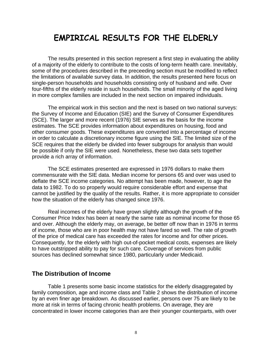## **EMPIRICAL RESULTS FOR THE ELDERLY**

The results presented in this section represent a first step in evaluating the ability of a majority of the elderly to contribute to the costs of long-term health care. Inevitably, some of the procedures described in the preceeding section must be modified to reflect the limitations of available survey data. In addition, the results presented here focus on single-person households and households consisting only of husband and wife. Over four-fifths of the elderly reside in such households. The small minority of the aged living in more complex families are included in the next section on impaired individuals.

The empirical work in this section and the next is based on two national surveys: the Survey of Income and Education (SIE) and the Survey of Consumer Expenditures (SCE). The larger and more recent (1976) SIE serves as the basis for the income estimates. The SCE provides information about expenditures on housing, food and other consumer goods. These expenditures are converted into a percentage of income in order to calculate a discretionary income figure using the SIE. The limited size of the SCE requires that the elderly be divided into fewer subgroups for analysis than would be possible if only the SIE were used. Nonetheless, these two data sets together provide a rich array of information.

The SCE estimates presented are expressed in 1976 dollars to make them commensurate with the SIE data. Median income for persons 65 and over was used to deflate the SCE income categories. No attempt has been made, however, to age the data to 1982. To do so properly would require considerable effort and expense that cannot be justified by the quality of the results. Rather, it is more appropriate to consider how the situation of the elderly has changed since 1976.

Real incomes of the elderly have grown slightly although the growth of the Consumer Price Index has been at nearly the same rate as nominal income for those 65 and over. Although the elderly may, on average, be better off now than in 1976 in terms of income, those who are in poor health may not have fared so well. The rate of growth of the price of medical care has exceeded the rates for income and for other prices. Consequently, for the elderly with high out-of-pocket medical costs, expenses are likely to have outstripped ability to pay for such care. Coverage of services from public sources has declined somewhat since 1980, particularly under Medicaid.

#### **The Distribution of Income**

Table 1 presents some basic income statistics for the elderly disaggregated by family composition, age and income class and Table 2 shows the distribution of income by an even finer age breakdown. As discussed earlier, persons over 75 are likely to be more at risk in terms of facing chronic health problems. On average, they are concentrated in lower income categories than are their younger counterparts, with over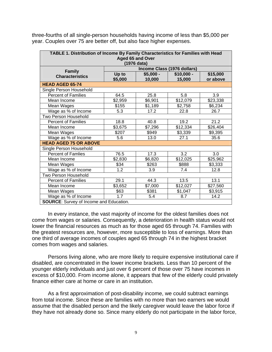three-fourths of all single-person households having income of less than \$5,000 per year. Couples over 75 are better off, but also face higher expenses.

| TABLE 1. Distribution of Income By Family Characteristics for Families with Head |                             |         |             |          |  |  |  |
|----------------------------------------------------------------------------------|-----------------------------|---------|-------------|----------|--|--|--|
| Aged 65 and Over                                                                 |                             |         |             |          |  |  |  |
| (1976 data)                                                                      |                             |         |             |          |  |  |  |
| <b>Family</b>                                                                    | Income Class (1976 dollars) |         |             |          |  |  |  |
| <b>Characteristics</b>                                                           | Up to<br>$$5,000 -$         |         | $$10,000 -$ | \$15,000 |  |  |  |
|                                                                                  | \$5,000                     | 10,000  | 15,000      | or above |  |  |  |
| <b>HEAD AGED 65-74</b>                                                           |                             |         |             |          |  |  |  |
| Single Person Household                                                          |                             |         |             |          |  |  |  |
| <b>Percent of Families</b>                                                       | 64.5                        | 25.8    | 5.8         | 3.9      |  |  |  |
| Mean Income                                                                      | \$2,959                     | \$6,901 | \$12,079    | \$23,338 |  |  |  |
| Mean Wages                                                                       | \$155                       | \$1,189 | \$2,758     | \$6,234  |  |  |  |
| Wage as % of Income                                                              | 5.3                         | 17.2    | 22.8        | 26.7     |  |  |  |
| Two Person Household                                                             |                             |         |             |          |  |  |  |
| <b>Percent of Families</b>                                                       | 18.8                        | 40.8    | 19.2        | 21.2     |  |  |  |
| Mean Income                                                                      | \$3,675                     | \$7,296 | \$12,334    | \$26,404 |  |  |  |
| Mean Wages                                                                       | \$207                       | \$949   | \$3,339     | \$9,395  |  |  |  |
| Wage as % of Income                                                              | 5.6                         | 13.0    | 27.1        | 35.6     |  |  |  |
| <b>HEAD AGED 75 OR ABOVE</b>                                                     |                             |         |             |          |  |  |  |
| Single Person Household                                                          |                             |         |             |          |  |  |  |
| <b>Percent of Famlies</b>                                                        | 76.5                        | 17.3    | 3.2         | 3.0      |  |  |  |
| Mean Income                                                                      | \$2,830                     | \$6,820 | \$12,025    | \$25,962 |  |  |  |
| Mean Wages                                                                       | \$34                        | \$263   | \$888       | \$3,333  |  |  |  |
| Wage as % of Income                                                              | 1.2                         | 3.9     | 7.4         | 12.8     |  |  |  |
| Two Person Household                                                             |                             |         |             |          |  |  |  |
| <b>Percent of Families</b>                                                       | 29.1                        | 44.3    | 13.5        | 13.1     |  |  |  |
| Mean Income                                                                      | \$3,652                     | \$7,000 | \$12,027    | \$27,560 |  |  |  |
| Mean Wages                                                                       | \$63                        | \$381   | \$1,047     | \$3,915  |  |  |  |
| Wage as % of Income                                                              | $\overline{1.7}$            | 5.4     | 8.7         | 14.2     |  |  |  |
| <b>SOURCE:</b> Survey of Income and Education.                                   |                             |         |             |          |  |  |  |

In every instance, the vast majority of income for the oldest families does not come from wages or salaries. Consequently, a deterioration in health status would not lower the financial resources as much as for those aged 65 through 74. Families with the greatest resources are, however, more susceptible to loss of earnings. More than one third of average incomes of couples aged 65 through 74 in the highest bracket comes from wages and salaries.

Persons living alone, who are more likely to require expensive institutional care if disabled, are concentrated in the lower income brackets. Less than 10 percent of the younger elderly individuals and just over 6 percent of those over 75 have incomes in excess of \$10,000. From income alone, it appears that few of the elderly could privately finance either care at home or care in an institution.

As a first approximation of post-disability income, we could subtract earnings from total income. Since these are families with no more than two earners we would assume that the disabled person and the likely caregiver would leave the labor force if they have not already done so. Since many elderly do not participate in the labor force,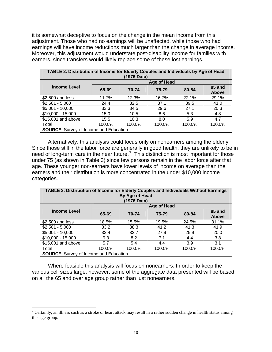it is somewhat deceptive to focus on the change in the mean income from this adjustment. Those who had no earnings will be unaffected, while those who had earnings will have income reductions much larger than the change in average income. Moreover, this adjustment would understate post-disability income for families with earners, since transfers would likely replace some of these lost earnings.

| TABLE 2. Distribution of Income for Elderly Couples and Individuals by Age of Head<br>(1976 Data) |        |        |             |        |                        |  |
|---------------------------------------------------------------------------------------------------|--------|--------|-------------|--------|------------------------|--|
|                                                                                                   |        |        | Age of Head |        |                        |  |
| <b>Income Level</b>                                                                               | 65-69  | 70-74  | 75-79       | 80-84  | 85 and<br><b>Above</b> |  |
| \$2,500 and less                                                                                  | 11.7%  | 12.3%  | 16.7%       | 22.1%  | 29.1%                  |  |
| $$2,501 - 5,000$                                                                                  | 24.4   | 32.5   | 37.1        | 39.5   | 41.0                   |  |
| $$5,001 - 10,000$                                                                                 | 33.3   | 34.5   | 29.6        | 27.1   | 20.3                   |  |
| $$10,000 - 15,000$                                                                                | 15.0   | 10.5   | 8.6         | 5.3    | 4.8                    |  |
| \$15,001 and above                                                                                | 15.5   | 10.3   | 8.0         | 5.9    | 4.7                    |  |
| Total                                                                                             | 100.0% | 100.0% | 100.0%      | 100.0% | 100.0%                 |  |
| <b>SOURCE:</b> Survey of Income and Education.                                                    |        |        |             |        |                        |  |

Alternatively, this analysis could focus only on nonearners among the elderly. Since those still in the labor force are generally in good health, they are unlikely to be in need of long-term care in the near future.<sup>[9](#page-15-0)</sup> This distinction is most important for those under 75 (as shown in Table 3) since few persons remain in the labor force after that age. These younger non-earners have lower levels of income on average than the earners and their distribution is more concentrated in the under \$10,000 income categories.

| TABLE 3. Distribution of Income for Elderly Couples and Individuals Without Earnings<br>By Age of Head<br>(1976 Data) |        |        |             |        |                        |  |
|-----------------------------------------------------------------------------------------------------------------------|--------|--------|-------------|--------|------------------------|--|
|                                                                                                                       |        |        | Age of Head |        |                        |  |
| <b>Income Level</b>                                                                                                   | 65-69  | 70-74  | 75-79       | 80-84  | 85 and<br><b>Above</b> |  |
| \$2,500 and less                                                                                                      | 18.5%  | 15.5%  | 19.5%       | 24.5%  | 31.1%                  |  |
| $$2,501 - 5,000$                                                                                                      | 33.2   | 38.3   | 41.2        | 41.3   | 41.9                   |  |
| $$5,001 - 10,000$                                                                                                     | 33.4   | 32.7   | 27.9        | 25.9   | 20.0                   |  |
| $$10,000 - 15,000$                                                                                                    | 9.3    | 8.2    | 7.1         | 4.4    | 3.8                    |  |
| \$15,001 and above                                                                                                    | 5.7    | 5.4    | 4.4         | 3.9    | 3.1                    |  |
| Total                                                                                                                 | 100.0% | 100.0% | 100.0%      | 100.0% | 100.0%                 |  |
| SOLIRCE: Survey of Income and Education                                                                               |        |        |             |        |                        |  |

**SOURCE**: Survey of Income and Education.

Where feasible this analysis will focus on nonearners. In order to keep the various cell sizes large, however, some of the aggregate data presented will be based on all the 65 and over age group rather than just nonearners.

<span id="page-15-0"></span><sup>&</sup>lt;sup>9</sup> Certainly, an illness such as a stroke or heart attack may result in a rather sudden change in health status among this age group.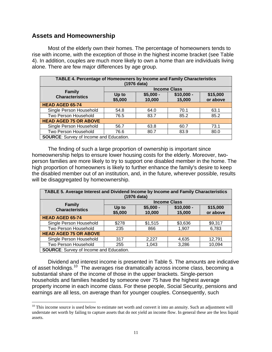## **Assets and Homeownership**

 $\overline{a}$ 

Most of the elderly own their homes. The percentage of homeowners tends to rise with income, with the exception of those in the highest income bracket (see Table 4). In addition, couples are much more likely to own a home than are individuals living alone. There are few major differences by age group.

| <b>TABLE 4. Percentage of Homeowners by Income and Family Characteristics</b><br>(1976 data) |                                                                                           |      |      |      |  |  |  |
|----------------------------------------------------------------------------------------------|-------------------------------------------------------------------------------------------|------|------|------|--|--|--|
| <b>Income Class</b>                                                                          |                                                                                           |      |      |      |  |  |  |
| <b>Family</b><br><b>Characteristics</b>                                                      | $$10,000 -$<br>\$15,000<br>$$5,000 -$<br>Up to<br>\$5,000<br>or above<br>10,000<br>15,000 |      |      |      |  |  |  |
| <b>HEAD AGED 65-74</b>                                                                       |                                                                                           |      |      |      |  |  |  |
| Single Person Household                                                                      | 54.8                                                                                      | 64.0 | 70.1 | 63.1 |  |  |  |
| Two Person Household                                                                         | 76.5                                                                                      | 83.7 | 85.2 | 85.2 |  |  |  |
| <b>HEAD AGED 75 OR ABOVE</b>                                                                 |                                                                                           |      |      |      |  |  |  |
| Single Person Household                                                                      | 56.7                                                                                      | 63.8 | 60.7 | 73.1 |  |  |  |
| Two Person Household                                                                         | 76.6<br>83.9<br>80.7<br>80.0                                                              |      |      |      |  |  |  |
| <b>SOURCE:</b> Survey of Income and Education.                                               |                                                                                           |      |      |      |  |  |  |

The finding of such a large proportion of ownership is important since homeownership helps to ensure lower housing costs for the elderly. Moreover, twoperson families are more likely to try to support one disabled member in the home. The high proportion of homeowners is likely to further enhance the family's desire to keep the disabled member out of an institution, and, in the future, wherever possible, results will be disaggregated by homeownership.

| TABLE 5. Average Interest and Dividend Income by Income and Family Characteristics<br>(1976 data) |                                                                                           |         |         |         |  |  |
|---------------------------------------------------------------------------------------------------|-------------------------------------------------------------------------------------------|---------|---------|---------|--|--|
| <b>Income Class</b>                                                                               |                                                                                           |         |         |         |  |  |
| <b>Family</b><br><b>Characteristics</b>                                                           | $$10,000 -$<br>\$15,000<br>$$5,000 -$<br>Up to<br>\$5,000<br>or above<br>10,000<br>15,000 |         |         |         |  |  |
| <b>HEAD AGED 65-74</b>                                                                            |                                                                                           |         |         |         |  |  |
| Single Person Household                                                                           | \$278                                                                                     | \$1,515 | \$3,636 | \$9,317 |  |  |
| Two Person Household                                                                              | 235                                                                                       | 866     | 1,907   | 6,783   |  |  |
| <b>HEAD AGED 75 OR ABOVE</b>                                                                      |                                                                                           |         |         |         |  |  |
| Single Person Household                                                                           | 317                                                                                       | 2,227   | 4,635   | 12,791  |  |  |
| Two Person Household                                                                              | 255                                                                                       | 1,043   | 3,286   | 10,094  |  |  |
| <b>SOURCE:</b> Survey of Income and Education.                                                    |                                                                                           |         |         |         |  |  |

Dividend and interest income is presented in Table 5. The amounts are indicative of asset holdings.[10](#page-16-0) The averages rise dramatically across income class, becoming a substantial share of the income of those in the upper brackets. Single-person households and families headed by someone over 75 have the highest average property income in each income class. For these people, Social Security, pensions and earnings are all less, on average than for younger couples. Consequently, such

<span id="page-16-0"></span> $10$  This income source is used below to estimate net worth and convert it into an annuity. Such an adjustment will understate net worth by failing to capture assets that do not yield an income flow. In general these are the less liquid assets.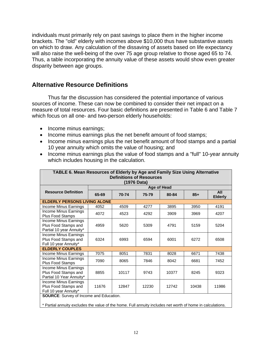individuals must primarily rely on past savings to place them in the higher income brackets. The "old" elderly with incomes above \$10,000 thus have substantive assets on which to draw. Any calculation of the dissaving of assets based on life expectancy will also raise the well-being of the over 75 age group relative to those aged 65 to 74. Thus, a table incorporating the annuity value of these assets would show even greater disparity between age groups.

## **Alternative Resource Definitions**

Thus far the discussion has considered the potential importance of various sources of income. These can now be combined to consider their net impact on a measure of total resources. Four basic definitions are presented in Table 6 and Table 7 which focus on all one- and two-person elderly households:

- Income minus earnings;
- Income minus earnings plus the net benefit amount of food stamps;
- Income minus earnings plus the net benefit amount of food stamps and a partial 10 year annuity which omits the value of housing; and
- Income minus earnings plus the value of food stamps and a "full" 10-year annuity which includes housing in the calculation.

| TABLE 6. Mean Resources of Elderly by Age and Family Size Using Alternative |       |       |             |             |       |                       |
|-----------------------------------------------------------------------------|-------|-------|-------------|-------------|-------|-----------------------|
| <b>Definitions of Resources</b>                                             |       |       |             |             |       |                       |
|                                                                             |       |       | (1976 Data) |             |       |                       |
|                                                                             |       |       |             | Age of Head |       |                       |
| <b>Resource Definition</b>                                                  | 65-69 | 70-74 | 75-79       | 80-84       | $85+$ | All<br><b>Elderly</b> |
| <b>ELDERLY PERSONS LIVING ALONE</b>                                         |       |       |             |             |       |                       |
| Income Minus Earnings                                                       | 4052  | 4509  | 4277        | 3895        | 3950  | 4191                  |
| Income Minus Earnings<br>Plus Food Stamps                                   | 4072  | 4523  | 4292        | 3909        | 3969  | 4207                  |
| Income Minus Earnings<br>Plus Food Stamps and<br>Partial 10 year Annuity*   | 4959  | 5620  | 5309        | 4791        | 5159  | 5204                  |
| Income Minus Earnings<br>Plus Food Stamps and<br>Full 10 year Annuity*      | 6324  | 6993  | 6594        | 6001        | 6272  | 6508                  |
| <b>ELDERLY COUPLES</b>                                                      |       |       |             |             |       |                       |
| Income Minus Earnings                                                       | 7075  | 8051  | 7831        | 8028        | 6671  | 7438                  |
| Income Minus Earnings<br>Plus Food Stamps                                   | 7090  | 8065  | 7846        | 8042        | 6681  | 7452                  |
| Income Minus Earnings<br>Plus Food Stamps and<br>Partial 10 Year Annuity*   | 8855  | 10117 | 9743        | 10377       | 8245  | 9323                  |
| Income Minus Earnings<br>Plus Food Stamps and<br>Full 10 year Annuity*      | 11676 | 12847 | 12230       | 12742       | 10438 | 11986                 |
| <b>SOURCE:</b> Survey of Income and Education.                              |       |       |             |             |       |                       |

\* Partial annuity excludes the value of the home. Full annuity includes net worth of home in calculations.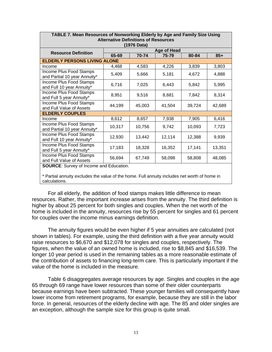| PLL I Iniqui Roovu voo vi Rommonung Lidvity by Ago und Funniy vizo vonig<br><b>Alternative Definitions of Resources</b><br>(1976 Data) |                                     |        |                    |        |        |  |  |
|----------------------------------------------------------------------------------------------------------------------------------------|-------------------------------------|--------|--------------------|--------|--------|--|--|
| <b>Resource Definition</b>                                                                                                             |                                     |        | <b>Age of Head</b> |        |        |  |  |
|                                                                                                                                        | 65-69                               | 70-74  | 75-79              | 80-84  | $85+$  |  |  |
|                                                                                                                                        | <b>ELDERLY PERSONS LIVING ALONE</b> |        |                    |        |        |  |  |
| Income                                                                                                                                 | 4,468                               | 4,583  | 4,226              | 3,839  | 3,803  |  |  |
| Income Plus Food Stamps<br>and Partial 10 year Annuity*                                                                                | 5,409                               | 5,666  | 5,181              | 4,672  | 4,888  |  |  |
| Income Plus Food Stamps<br>and Full 10 year Annuity*                                                                                   | 6,716                               | 7,025  | 6,443              | 5,842  | 5,995  |  |  |
| Income Plus Food Stamps<br>and Full 5 year Annuity*                                                                                    | 8,951                               | 9,516  | 8,681              | 7,842  | 8,314  |  |  |
| <b>Income Plus Food Stamps</b><br>and Full Value of Assets                                                                             | 44,199                              | 45,003 | 41,504             | 39,724 | 42,689 |  |  |
| <b>ELDERLY COUPLES</b>                                                                                                                 |                                     |        |                    |        |        |  |  |
| Income                                                                                                                                 | 8,612                               | 8,657  | 7,938              | 7,905  | 6,416  |  |  |
| <b>Income Plus Food Stamps</b><br>and Partial 10 year Annuity*                                                                         | 10,317                              | 10,756 | 9,742              | 10,093 | 7,723  |  |  |
| Income Plus Food Stamps<br>and Full 10 year Annuity*                                                                                   | 12,930                              | 13,442 | 12,114             | 12,388 | 9,939  |  |  |
| Income Plus Food Stamps<br>and Full 5 year Annuity*                                                                                    | 17,183                              | 18,328 | 16,352             | 17,141 | 13,351 |  |  |
| <b>Income Plus Food Stamps</b><br>and Full Value of Assets                                                                             | 56,694                              | 67,749 | 58,098             | 58,808 | 48,085 |  |  |
| SOLIRCE: Survey of Income and Education                                                                                                |                                     |        |                    |        |        |  |  |

**TABLE 7. Mean Resources of Nonworking Elderly by Age and Family Size Using** 

or Income and Education.

\* Partial annuity excludes the value of the home. Full annuity includes net worth of home in calculations.

For all elderly, the addition of food stamps makes little difference to mean resources. Rather, the important increase arises from the annuity. The third definition is higher by about 25 percent for both singles and couples. When the net worth of the home is included in the annuity, resources rise by 55 percent for singles and 61 percent for couples over the income minus earnings definition.

The annuity figures would be even higher if 5 year annuities are calculated (not shown in tables). For example, using the third definition with a five year annuity would raise resources to \$6,670 and \$12,078 for singles and couples, respectively. The figures, when the value of an owned home is included, rise to \$8,845 and \$16,539. The longer 10 year period is used in the remaining tables as a more reasonable estimate of the contribution of assets to financing long-term care. This is particularly important if the value of the home is included in the measure.

Table 6 disaggregates average resources by age. Singles and couples in the age 65 through 69 range have lower resources than some of their older counterparts because earnings have been subtracted. These younger families will consequently have lower income from retirement programs, for example, because they are still in the labor force. In general, resources of the elderly decline with age. The 85 and older singles are an exception, although the sample size for this group is quite small.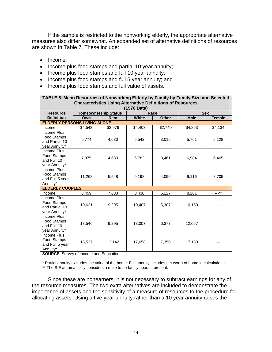If the sample is restricted to the nonworking elderly, the appropriate alternative measures also differ somewhat. An expanded set of alternative definitions of resources are shown in Table 7. These include:

- Income;
- Income plus food stamps and partial 10 year annuity;
- Income plus food stamps and full 10 year annuity;
- Income plus food stamps and full 5 year annuity; and
- Income plus food stamps and full value of assets.

| TABLE 8. Mean Resources of Nonworking Elderly by Family by Family Size and Selected |             |                             |              |                 |             |               |  |  |
|-------------------------------------------------------------------------------------|-------------|-----------------------------|--------------|-----------------|-------------|---------------|--|--|
| <b>Characteristics Using Alternative Definitions of Resources</b>                   |             |                             |              |                 |             |               |  |  |
|                                                                                     | (1976 Data) |                             |              |                 |             |               |  |  |
| <b>Resource</b>                                                                     |             | <b>Homeownership Status</b> |              | Race            |             | <b>Sex</b>    |  |  |
| <b>Definition</b>                                                                   | Own         | Rent                        | <b>White</b> | <b>Other</b>    | <b>Male</b> | <b>Female</b> |  |  |
| <b>ELDERLY PERSONS LIVING ALONE</b>                                                 |             |                             |              |                 |             |               |  |  |
| Income                                                                              | \$4,543     | \$3,976                     | \$4,403      | $\sqrt{$2,740}$ | \$4,863     | \$4,134       |  |  |
| Income Plus<br>Food Stamps<br>and Partial 10<br>year Annuity*                       | 5,774       | 4,630                       | 5,542        | 3,015           | 5,761       | 5,128         |  |  |
| Income Plus<br><b>Food Stamps</b><br>and Full 10<br>year Annuity*                   | 7,975       | 4,630                       | 6,782        | 3,461           | 6,984       | 6,405         |  |  |
| Income Plus<br>Food Stamps<br>and Full 5 year<br>Annuity*                           | 11,268      | 5,548                       | 9,198        | 4,096           | 9,116       | 8,705         |  |  |
| <b>ELDERLY COUPLES</b>                                                              |             |                             |              |                 |             |               |  |  |
| Income                                                                              | 8,459       | 7,633                       | 8,430        | 5,127           | 8,261       | $---***$      |  |  |
| Income Plus<br>Food Stamps<br>and Partial 10<br>year Annuity*                       | 10,631      | 9,295                       | 10,407       | 5,387           | 10,150      |               |  |  |
| Income Plus<br>Food Stamps<br>and Full 10<br>year Annuity*                          | 13,546      | 9,295                       | 13,007       | 6,377           | 12,667      |               |  |  |
| Income Plus<br>Food Stamps<br>and Full 5 year<br>Annuity*                           | 18,537      | 13,142                      | 17,658       | 7,350           | 17,130      |               |  |  |

**SOURCE**: Survey of Income and Education.

\* Partial annuity excludes the value of the home. Full annuity includes net worth of home in calculations. \*\* The SIE automatically considers a male to be family head, if present.

Since these are nonearners, it is not necessary to subtract earnings for any of the resource measures. The two extra alternatives are included to demonstrate the importance of assets and the sensitivity of a measure of resources to the procedure for allocating assets. Using a five year annuity rather than a 10 year annuity raises the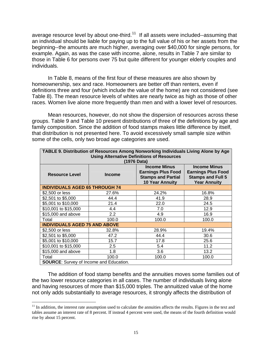average resource level by about one-third.<sup>[11](#page-20-0)</sup> If all assets were included--assuming that an individual should be liable for paying up to the full value of his or her assets from the beginning--the amounts are much higher, averaging over \$40,000 for single persons, for example. Again, as was the case with income, alone, results in Table 7 are similar to those in Table 6 for persons over 75 but quite different for younger elderly couples and individuals.

In Table 8, means of the first four of these measures are also shown by homeownership, sex and race. Homeowners are better off than renters, even if definitions three and four (which include the value of the home) are not considered (see Table 8). The mean resource levels of whites are nearly twice as high as those of other races. Women live alone more frequently than men and with a lower level of resources.

Mean resources, however, do not show the dispersion of resources across these groups. Table 9 and Table 10 present distributions of three of the definitions by age and family composition. Since the addition of food stamps makes little difference by itself, that distribution is not presented here. To avoid excessively small sample size within some of the cells, only two broad age categories are used.

|                                                   | TABLE 9. Distribution of Resources Among Nonworking Individuals Living Alone by Age |                                                                                                         |                                                                                                     |  |  |  |  |
|---------------------------------------------------|-------------------------------------------------------------------------------------|---------------------------------------------------------------------------------------------------------|-----------------------------------------------------------------------------------------------------|--|--|--|--|
| <b>Using Alternative Definitions of Resources</b> |                                                                                     |                                                                                                         |                                                                                                     |  |  |  |  |
| (1976 Data)                                       |                                                                                     |                                                                                                         |                                                                                                     |  |  |  |  |
| <b>Resource Level</b>                             | <b>Income</b>                                                                       | <b>Income Minus</b><br><b>Earnings Plus Food</b><br><b>Stamps and Partial</b><br><b>10 Year Annuity</b> | <b>Income Minus</b><br><b>Earnings Plus Food</b><br><b>Stamps and Full 5</b><br><b>Year Annuity</b> |  |  |  |  |
| <b>INDIVIDUALS AGED 65 THROUGH 74</b>             |                                                                                     |                                                                                                         |                                                                                                     |  |  |  |  |
| \$2,500 or less                                   | 27.6%                                                                               | 24.2%                                                                                                   | 16.8%                                                                                               |  |  |  |  |
| \$2,501 to \$5,000                                | 44.4                                                                                | 41.9                                                                                                    | 28.9                                                                                                |  |  |  |  |
| \$5,001 to \$10,000                               | 21.4                                                                                | 22.0                                                                                                    | 24.5                                                                                                |  |  |  |  |
| \$10,001 to \$15,000                              | 4.4                                                                                 | 7.0                                                                                                     | 12.9                                                                                                |  |  |  |  |
| \$15,000 and above                                | $2.2\phantom{0}$                                                                    | 4.9                                                                                                     | 16.9                                                                                                |  |  |  |  |
| Total                                             | 100.0                                                                               | 100.0                                                                                                   | 100.0                                                                                               |  |  |  |  |
| <b>INDIVIDUALS AGED 75 AND ABOVE</b>              |                                                                                     |                                                                                                         |                                                                                                     |  |  |  |  |
| \$2,500 or less                                   | 32.8%                                                                               | 28.9%                                                                                                   | 19.4%                                                                                               |  |  |  |  |
| \$2,501 to \$5,000                                | 47.2                                                                                | 44.4                                                                                                    | 30.6                                                                                                |  |  |  |  |
| \$5,001 to \$10,000                               | 15.7                                                                                | 17.8                                                                                                    | 25.6                                                                                                |  |  |  |  |
| \$10,001 to \$15,000                              | $2.5\,$                                                                             | 5.4                                                                                                     | 11.2                                                                                                |  |  |  |  |
| \$15,000 and above                                | 1.8                                                                                 | 3.6                                                                                                     | 13.2                                                                                                |  |  |  |  |
| Total                                             | 100.0                                                                               | 100.0                                                                                                   | 100.0                                                                                               |  |  |  |  |
| <b>SOURCE:</b> Survey of Income and Education.    |                                                                                     |                                                                                                         |                                                                                                     |  |  |  |  |

The addition of food stamp benefits and the annuities moves some families out of the two lower resource categories in all cases. The number of individuals living alone and having resources of more than \$15,000 triples. The annuitized value of the home not only adds substantially to average resources, it strongly affects the distribution of

<span id="page-20-0"></span> $<sup>11</sup>$  In addition, the interest rate assumption used to calculate the annuities affects the results. Figures in the text and</sup> tables assume an interest rate of 8 percent. If instead 4 percent were used, the means of the fourth definition would rise by about 15 percent.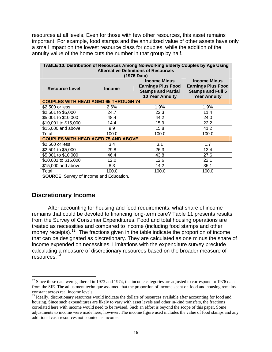resources at all levels. Even for those with few other resources, this asset remains important. For example, food stamps and the annuitized value of other assets have only a small impact on the lowest resource class for couples, while the addition of the annuity value of the home cuts the number in that group by half.

| TABLE 10. Distribution of Resources Among Nonworking Elderly Couples by Age Using |                                             |                           |                           |  |  |  |  |
|-----------------------------------------------------------------------------------|---------------------------------------------|---------------------------|---------------------------|--|--|--|--|
| <b>Alternative Definitions of Resources</b><br>(1976 Data)                        |                                             |                           |                           |  |  |  |  |
|                                                                                   |                                             | <b>Income Minus</b>       | <b>Income Minus</b>       |  |  |  |  |
|                                                                                   |                                             | <b>Earnings Plus Food</b> | <b>Earnings Plus Food</b> |  |  |  |  |
| <b>Resource Level</b>                                                             | <b>Income</b>                               | <b>Stamps and Partial</b> | <b>Stamps and Full 5</b>  |  |  |  |  |
|                                                                                   |                                             | <b>10 Year Annuity</b>    | <b>Year Annuity</b>       |  |  |  |  |
|                                                                                   | <b>COUPLES WITH HEAD AGED 65 THROUGH 74</b> |                           |                           |  |  |  |  |
| \$2,500 or less                                                                   | 2.6%                                        | 1.9%                      | 1.9%                      |  |  |  |  |
| \$2,501 to \$5,000                                                                | 24.7                                        | 22.3                      | 11.4                      |  |  |  |  |
| \$5,001 to \$10,000                                                               | 48.4                                        | 44.2                      | 24.0                      |  |  |  |  |
| \$10,001 to \$15,000                                                              | 14.4                                        | 15.9                      | 22.2                      |  |  |  |  |
| \$15,000 and above                                                                | 9.9                                         | 15.8                      | 41.2                      |  |  |  |  |
| Total                                                                             | 100.0                                       | 100.0                     | 100.0                     |  |  |  |  |
|                                                                                   | <b>COUPLES WITH HEAD AGED 75 AND ABOVE</b>  |                           |                           |  |  |  |  |
| \$2,500 or less                                                                   | 3.4                                         | 3.1                       | 1.7                       |  |  |  |  |
| \$2,501 to \$5,000                                                                | 29.8                                        | 26.3                      | 13.4                      |  |  |  |  |
| \$5,001 to \$10,000                                                               | 46.4                                        | 43.8                      | 27.6                      |  |  |  |  |
| \$10,001 to \$15,000                                                              | 12.0                                        | 12.6                      | 22.1                      |  |  |  |  |
| \$15,000 and above                                                                | 8.3                                         | 14.2                      | 35.1                      |  |  |  |  |
| Total                                                                             | 100.0                                       | 100.0                     | 100.0                     |  |  |  |  |
| <b>SOURCE:</b> Survey of Income and Education.                                    |                                             |                           |                           |  |  |  |  |

## **Discretionary Income**

 $\overline{a}$ 

After accounting for housing and food requirements, what share of income remains that could be devoted to financing long-term care? Table 11 presents results from the Survey of Consumer Expenditures. Food and total housing operations are treated as necessities and compared to income (including food stamps and other money receipts).<sup>[12](#page-21-0)</sup> The fractions given in the table indicate the proportion of income that can be designated as discretionary. They are calculated as one minus the share of income expended on necessities. Limitations with the expenditure survey preclude calculating a measure of discretionary resources based on the broader measure of resources.[13](#page-21-1)

<span id="page-21-0"></span> $12$  Since these data were gathered in 1973 and 1974, the income categories are adjusted to correspond to 1976 data from the SIE. The adjustment technique assumed that the proportion of income spent on food and housing remains constant across real income levels.

<span id="page-21-1"></span><sup>&</sup>lt;sup>13</sup> Ideally, discretionary resources would indicate the dollars of resources available after accounting for food and housing. Since such expenditures are likely to vary with asset levels and other in-kind transfers, the fractions correlated here with income would need to be revised. Such an effort is beyond the scope of this paper. Some adjustments to income were made here, however. The income figure used includes the value of food stamps and any additional cash resources not counted as income.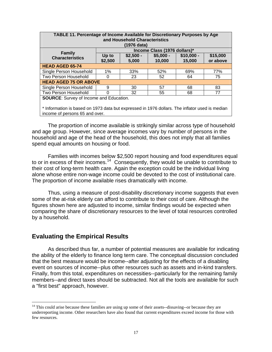| TABLE 11. Percentage of Income Available for Discretionary Purposes by Age<br>and Household Characteristics |         |             |                              |             |          |  |
|-------------------------------------------------------------------------------------------------------------|---------|-------------|------------------------------|-------------|----------|--|
|                                                                                                             |         | (1976 data) |                              |             |          |  |
|                                                                                                             |         |             |                              |             |          |  |
| <b>Family</b>                                                                                               |         |             | Income Class (1976 dollars)* |             |          |  |
| <b>Characteristics</b>                                                                                      | Up to   | $$2,500 -$  | $$5,000 -$                   | $$10,000 -$ | \$15,000 |  |
|                                                                                                             | \$2,500 | 5,000       | 10,000                       | 15,000      | or above |  |
| <b>HEAD AGED 65-74</b>                                                                                      |         |             |                              |             |          |  |
| Single Person Household                                                                                     | 1%      | 33%         | 52%                          | 69%         | 77%      |  |
| Two Person Household                                                                                        | 0       | 23          | 52                           | 64          | 75       |  |
| <b>HEAD AGED 75 OR ABOVE</b>                                                                                |         |             |                              |             |          |  |
| Single Person Household                                                                                     | 9       | 30          | 57                           | 68          | 83       |  |
| Two Person Household<br>77<br>55<br>32<br>0<br>68                                                           |         |             |                              |             |          |  |
| <b>SOURCE:</b> Survey of Income and Education.                                                              |         |             |                              |             |          |  |

\* Information is based on 1973 data but expressed in 1976 dollars. The inflator used is median income of persons 65 and over.

The proportion of income available is strikingly similar across type of household and age group. However, since average incomes vary by number of persons in the household and age of the head of the household, this does not imply that all families spend equal amounts on housing or food.

Families with incomes below \$2,500 report housing and food expenditures equal to or in excess of their incomes.<sup>[14](#page-22-0)</sup> Consequently, they would be unable to contribute to their cost of long-term health care. Again the exception could be the individual living alone whose entire non-wage income could be devoted to the cost of institutional care. The proportion of income available rises dramatically with income.

Thus, using a measure of post-disability discretionary income suggests that even some of the at-risk elderly can afford to contribute to their cost of care. Although the figures shown here are adjusted to income, similar findings would be expected when comparing the share of discretionary resources to the level of total resources controlled by a household.

## **Evaluating the Empirical Results**

 $\overline{a}$ 

As described thus far, a number of potential measures are available for indicating the ability of the elderly to finance long term care. The conceptual discussion concluded that the best measure would be income--after adjusting for the effects of a disabling event on sources of income--plus other resources such as assets and in-kind transfers. Finally, from this total, expenditures on necessities--particularly for the remaining family members--and direct taxes should be subtracted. Not all the tools are available for such a "first best" approach, however.

<span id="page-22-0"></span><sup>&</sup>lt;sup>14</sup> This could arise because these families are using up some of their assets--dissaving--or because they are underreporting income. Other researchers have also found that current expenditures exceed income for those with few resources.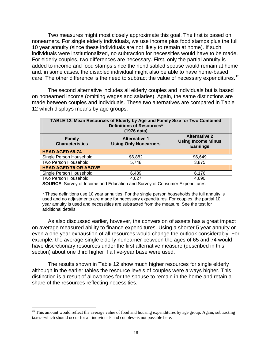Two measures might most closely approximate this goal. The first is based on nonearners. For single elderly individuals, we use income plus food stamps plus the full 10 year annuity (since these individuals are not likely to remain at home). If such individuals were institutionalized, no subtraction for necessities would have to be made. For elderly couples, two differences are necessary. First, only the partial annuity is added to income and food stamps since the nondisabled spouse would remain at home and, in some cases, the disabled individual might also be able to have home-based care. The other difference is the need to subtract the value of necessary expenditures.<sup>[15](#page-23-0)</sup>

The second alternative includes all elderly couples and individuals but is based on nonearned income (omitting wages and salaries). Again, the same distinctions are made between couples and individuals. These two alternatives are compared in Table 12 which displays means by age groups.

| TABLE 12. Mean Resources of Elderly by Age and Family Size for Two Combined<br>Definitions of Resources*<br>(1976 data)                                                 |         |         |  |  |  |  |
|-------------------------------------------------------------------------------------------------------------------------------------------------------------------------|---------|---------|--|--|--|--|
| <b>Alternative 2</b><br><b>Family</b><br><b>Alternative 1</b><br><b>Using Income Minus</b><br><b>Characteristics</b><br><b>Using Only Nonearners</b><br><b>Earnings</b> |         |         |  |  |  |  |
| <b>HEAD AGED 65-74</b>                                                                                                                                                  |         |         |  |  |  |  |
| Single Person Household                                                                                                                                                 | \$6,882 | \$6,649 |  |  |  |  |
| Two Person Household                                                                                                                                                    | 5,748   | 3,875   |  |  |  |  |
| <b>HEAD AGED 75 OR ABOVE</b>                                                                                                                                            |         |         |  |  |  |  |
| Single Person Household                                                                                                                                                 | 6,439   | 6,176   |  |  |  |  |
| Two Person Household<br>4,690<br>4.627                                                                                                                                  |         |         |  |  |  |  |
| <b>SOURCE:</b> Survey of Income and Education and Survey of Consumer Expenditures.                                                                                      |         |         |  |  |  |  |

\* These definitions use 10 year annuities. For the single person households the full annuity is used and no adjustments are made for necessary expenditures. For couples, the partial 10 year annuity is used and necessities are subtracted from the measure. See the test for additional details.

As also discussed earlier, however, the conversion of assets has a great impact on average measured ability to finance expenditures. Using a shorter 5 year annuity or even a one year exhaustion of all resources would change the outlook considerably. For example, the average-single elderly nonearner between the ages of 65 and 74 would have discretionary resources under the first alternative measure (described in this section) about one third higher if a five-year base were used.

The results shown in Table 12 show much higher resources for single elderly although in the earlier tables the resource levels of couples were always higher. This distinction is a result of allowances for the spouse to remain in the home and retain a share of the resources reflecting necessities.

<span id="page-23-0"></span><sup>&</sup>lt;sup>15</sup> This amount would reflect the average value of food and housing expenditures by age group. Again, subtracting taxes--which should occur for all individuals and couples--is not possible here.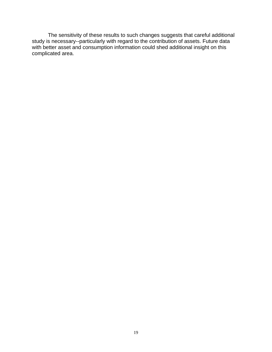The sensitivity of these results to such changes suggests that careful additional study is necessary--particularly with regard to the contribution of assets. Future data with better asset and consumption information could shed additional insight on this complicated area.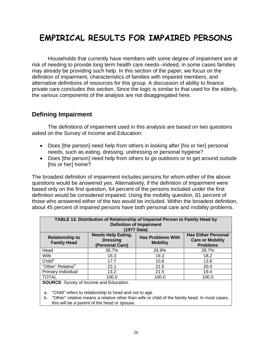# **EMPIRICAL RESULTS FOR IMPAIRED PERSONS**

Households that currently have members with some degree of impairment are at risk of needing to provide long term health care needs--indeed, in some cases families may already be providing such help. In this section of the paper, we focus on the definition of impairment, characteristics of families with impaired members, and alternative definitions of resources for this group. A discussion of ability to finance private care concludes this section. Since the logic is similar to that used for the elderly, the various components of the analysis are not disaggregated here.

## **Defining Impairment**

The definitions of impairment used in this analysis are based on two questions asked on the Survey of Income and Education:

- Does [the person] need help from others in looking after [his or her] personal needs, such as eating, dressing, undressing or personal hygiene?
- Does [the person] need help from others to go outdoors or to get around outside [his or her] home?

The broadest definition of impairment includes persons for whom either of the above questions would be answered yes. Alternatively, if the definition of impairment were based only on the first question, 64 percent of the persons included under the first definition would be considered impaired. Using the mobility question, 81 percent of those who answered either of the two would be included. Within the broadest definition, about 45 percent of impaired persons have both personal care and mobility problems.

| TABLE 13. Distribution of Relationship of Impaired Person to Family Head by<br><b>Definition of Impairment</b><br>(1977 Data)                                                                                                              |       |       |       |  |  |  |
|--------------------------------------------------------------------------------------------------------------------------------------------------------------------------------------------------------------------------------------------|-------|-------|-------|--|--|--|
| <b>Has Either Personal</b><br><b>Needs Help Eating,</b><br><b>Has Problems With</b><br><b>Relationship to</b><br><b>Care or Mobility</b><br><b>Dressing</b><br><b>Family Head</b><br><b>Mobility</b><br><b>Problems</b><br>(Personal Care) |       |       |       |  |  |  |
| Head                                                                                                                                                                                                                                       | 30.7% | 26.9% | 28.7% |  |  |  |
| Wife                                                                                                                                                                                                                                       | 16.3  | 19.3  | 18.2  |  |  |  |
| Child <sup>a</sup>                                                                                                                                                                                                                         | 17.7  | 10.8  | 13.8  |  |  |  |
| "Other" Relative <sup>b</sup>                                                                                                                                                                                                              | 22.1  | 21.5  | 20.0  |  |  |  |
| Primary Individual                                                                                                                                                                                                                         | 13.2  | 21.5  | 19.4  |  |  |  |
| <b>TOTAL</b>                                                                                                                                                                                                                               | 100.0 | 100.0 | 100.0 |  |  |  |

**SOURCE**: Survey of Income and Education.

a. "Child" refers to relationship to head and not to age.

b. "Other" relative means a relative other than wife or child of the family head. In most cases, this will be a parent of the head or spouse.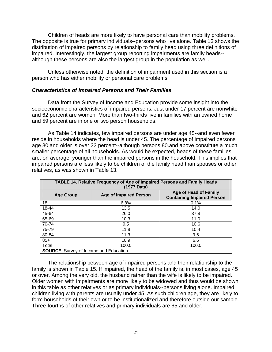Children of heads are more likely to have personal care than mobility problems. The opposite is true for primary individuals--persons who live alone. Table 13 shows the distribution of impaired persons by relationship to family head using three definitions of impaired. Interestingly, the largest group reporting impairments are family heads- although these persons are also the largest group in the population as well.

Unless otherwise noted, the definition of impairment used in this section is a person who has either mobility or personal care problems.

#### *Characteristics of Impaired Persons and Their Families*

Data from the Survey of Income and Education provide some insight into the socioeconomic characteristics of impaired persons. Just under 17 percent are nonwhite and 62 percent are women. More than two-thirds live in families with an owned home and 59 percent are in one or two person households.

As Table 14 indicates, few impaired persons are under age 45--and even fewer reside in households where the head is under 45. The percentage of impaired persons age 80 and older is over 22 percent--although persons 80.and above constitute a much smaller percentage of all households. As would be expected, heads of these families are, on average, younger than the impaired persons in the household. This implies that impaired persons are less likely to be children of the family head than spouses or other relatives, as was shown in Table 13.

| <b>TABLE 14. Relative Frequency of Age of Impaired Persons and Family Heads</b> |                               |                                   |  |  |  |  |  |  |
|---------------------------------------------------------------------------------|-------------------------------|-----------------------------------|--|--|--|--|--|--|
| (1977 Data)                                                                     |                               |                                   |  |  |  |  |  |  |
| <b>Age of Head of Family</b>                                                    |                               |                                   |  |  |  |  |  |  |
| <b>Age Group</b>                                                                | <b>Age of Impaired Person</b> | <b>Containing Impaired Person</b> |  |  |  |  |  |  |
| 18                                                                              | 6.8%                          | 0.1%                              |  |  |  |  |  |  |
| 18-44                                                                           | 13.5                          | 14.0                              |  |  |  |  |  |  |
| 45-64                                                                           | 26.0                          | 37.8                              |  |  |  |  |  |  |
| 65-69                                                                           | 10.3                          | 11.0                              |  |  |  |  |  |  |
| 70-74                                                                           | 9.5                           | 10.6                              |  |  |  |  |  |  |
| 75-79                                                                           | 11.8                          | 10.4                              |  |  |  |  |  |  |
| 80-84                                                                           | 11.3                          | 9.6                               |  |  |  |  |  |  |
| $85+$                                                                           | 10.9                          | 6.6                               |  |  |  |  |  |  |
| Total                                                                           | 100.0                         | 100.0                             |  |  |  |  |  |  |
| <b>SOURCE:</b> Survey of Income and Education.                                  |                               |                                   |  |  |  |  |  |  |

The relationship between age of impaired persons and their relationship to the family is shown in Table 15. If impaired, the head of the family is, in most cases, age 45 or over. Among the very old, the husband rather than the wife is likely to be impaired. Older women with impairments are more likely to be widowed and thus would be shown in this table as other relatives or as primary individuals--persons living alone. Impaired children living with parents are usually under 45. As such children age, they are likely to form households of their own or to be institutionalized and therefore outside our sample. Three-fourths of other relatives and primary individuals are 65 and older.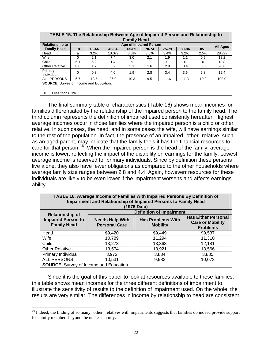| TABLE 15. The Relationship Between Age of Impaired Person and Relationship to |     |         |       |                        |          |          |          |          |          |
|-------------------------------------------------------------------------------|-----|---------|-------|------------------------|----------|----------|----------|----------|----------|
|                                                                               |     |         |       | <b>Family Head</b>     |          |          |          |          |          |
| <b>Relationship to</b>                                                        |     |         |       | Age of Impaired Person |          |          |          |          | All Ages |
| <b>Family Head</b>                                                            | 18  | 18-44   | 45-64 | 65-69                  | 70-74    | 75-79    | 80-84    | $85+$    |          |
| Head                                                                          | a   | $3.2\%$ | 10.0% | 3.3%                   | $3.0\%$  | 3.4%     | 3.2%     | 2.5%     | 28.7%    |
| Wife                                                                          | 0   | 2.1     | 7.4   | 3.0                    | 2.1      | 1.9      | 1.1      | 0.5      | 18.2     |
| Child                                                                         | 6.1 | 6.2     | 1.4   | a                      | $\Omega$ | $\Omega$ | $\Omega$ | $\Omega$ | 13.8     |
| <b>Other Relative</b>                                                         | 0.6 | 1.2     | 3.2   | 2.1                    | 1.6      | 2.9      | 3.4      | 5.0      | 20.0     |
| Primary<br>Individual                                                         | 0   | 0.8     | 4.0   | 1.9                    | 2.8      | 3.4      | 3.6      | 2.8      | 19.4     |
| <b>ALL PERSONS</b>                                                            | 6.7 | 13.5    | 26.0  | 10.3                   | 9.5      | 11.6     | 11.3     | 10.8     | 100.0    |
| <b>SOURCE:</b> Survey of Income and Education.                                |     |         |       |                        |          |          |          |          |          |
|                                                                               |     |         |       |                        |          |          |          |          |          |
| Less than $0.1\%$<br>а.                                                       |     |         |       |                        |          |          |          |          |          |

The final summary table of characteristics (Table 16) shows mean incomes for families differentiated by the relationship of the impaired person to the family head. The third column represents the definition of impaired used consistently hereafter. Highest average incomes occur in those families where the impaired person is a child or other relative. In such cases, the head, and in some cases the wife, will have earnings similar to the rest of the population. In fact, the presence of an impaired "other" relative, such as an aged parent, may indicate that the family feels it has the financial resources to care for that person.<sup>[16](#page-27-0)</sup> When the impaired person is the head of the family, average income is lower, reflecting the impact of the disability on earnings for the family. Lowest average income is reserved for primary individuals. Since by definition these persons live alone, they also have fewer obligations as compared to the other households where average family size ranges between 2.8 and 4.4. Again, howeverr resources for these individuals are likely to be even lower if the impairment worsens and affects earnings ability.

| TABLE 16. Average Income of Families with Impaired Persons By Definition of<br>Impairment and Relationship of Impaired Persons to Family Head<br>(1976 Data) |                                                                                                                                                                           |                                 |         |  |  |  |  |
|--------------------------------------------------------------------------------------------------------------------------------------------------------------|---------------------------------------------------------------------------------------------------------------------------------------------------------------------------|---------------------------------|---------|--|--|--|--|
|                                                                                                                                                              |                                                                                                                                                                           | <b>Definition of Impairment</b> |         |  |  |  |  |
| <b>Relationship of</b><br><b>Impaired Person to</b><br><b>Family Head</b>                                                                                    | <b>Has Either Personal</b><br><b>Has Problems With</b><br><b>Needs Help With</b><br><b>Care or Mobility</b><br><b>Personal Care</b><br><b>Mobility</b><br><b>Problems</b> |                                 |         |  |  |  |  |
| Head                                                                                                                                                         | \$9,420                                                                                                                                                                   | \$9,449                         | \$9,537 |  |  |  |  |
| Wife                                                                                                                                                         | 10,789                                                                                                                                                                    | 11,294                          | 11,310  |  |  |  |  |
| Child                                                                                                                                                        | 13,273                                                                                                                                                                    | 13,363                          | 12,181  |  |  |  |  |
| <b>Other Relative</b>                                                                                                                                        | 13,574                                                                                                                                                                    | 13,921                          | 13,566  |  |  |  |  |
| Primary Individual                                                                                                                                           | 3,972                                                                                                                                                                     | 3,834                           | 3,885   |  |  |  |  |
| <b>ALL PERSONS</b>                                                                                                                                           | 10,531                                                                                                                                                                    | 9,983                           | 10,073  |  |  |  |  |
| <b>SOURCE:</b> Survey of Income and Education.                                                                                                               |                                                                                                                                                                           |                                 |         |  |  |  |  |

Since it is the goal of this paper to look at resources available to these families, this table shows mean incomes for the three different definitions of impairment to illustrate the sensitivity of results to the definition of impairment used. On the whole, the results are very similar. The differences in income by relationship to head are consistent

1

<span id="page-27-0"></span><sup>&</sup>lt;sup>16</sup> Indeed, the finding of so many "other" relatives with impairments suggests that families do indeed provide support for family members beyond the nuclear family.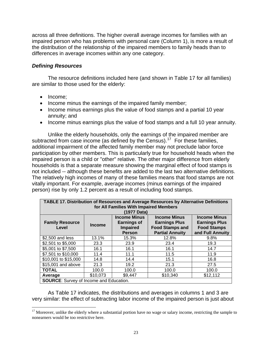across all three definitions. The higher overall average incomes for families with an impaired person who has problems with personal care (Column 1), is more a result of the distribution of the relationship of the impaired members to family heads than to differences in average incomes within any one category.

#### *Defining Resources*

The resource definitions included here (and shown in Table 17 for all families) are similar to those used for the elderly:

• Income:

 $\overline{a}$ 

- Income minus the earnings of the impaired family member;
- Income minus earnings plus the value of food stamps and a partial 10 year annuity; and
- Income minus earnings plus the value of food stamps and a full 10 year annuity.

Unlike the elderly households, only the earnings of the impaired member are subtracted from case income (as defined by the Census).<sup>[17](#page-28-0)</sup> For these families, additional impairment of the affected family member may not preclude labor force participation by other members. This is particularly true for household heads when the impaired person is a child or "other" relative. The other major difference from elderly households is that a separate measure showing the marginal effect of food stamps is not included -- although these benefits are added to the last two alternative definitions. The relatively high incomes of many of these families means that food stamps are not vitally important. For example, average incomes (minus earnings of the impaired person) rise by only 1.2 percent as a result of including food stamps.

| TABLE 17. Distribution of Resources and Average Resources by Alternative Definitions<br>for All Families With Impaired Members |               |                                                                               |                                                                                                 |                                                                                       |  |
|--------------------------------------------------------------------------------------------------------------------------------|---------------|-------------------------------------------------------------------------------|-------------------------------------------------------------------------------------------------|---------------------------------------------------------------------------------------|--|
|                                                                                                                                |               | (1977 Data)                                                                   |                                                                                                 |                                                                                       |  |
| <b>Family Resource</b><br>Level                                                                                                | <b>Income</b> | <b>Income Minus</b><br><b>Earnings of</b><br><b>Impaired</b><br><b>Person</b> | <b>Income Minus</b><br><b>Earnings Plus</b><br><b>Food Stamps and</b><br><b>Partial Annuity</b> | <b>Income Minus</b><br><b>Earnings Plus</b><br><b>Food Stamps</b><br>and Full Annuity |  |
| \$2,500 and less                                                                                                               | 13.1%         | 15.3%                                                                         | 12.8%                                                                                           | 9.8%                                                                                  |  |
| \$2,501 to \$5,000                                                                                                             | 23.3          | 23.9                                                                          | 23.4                                                                                            | 19.3                                                                                  |  |
| \$5,001 to \$7,500                                                                                                             | 16.1          | 16.1                                                                          | 16.1                                                                                            | 14.7                                                                                  |  |
| \$7,501 to \$10,000                                                                                                            | 11.4          | 11.1                                                                          | 11.5                                                                                            | 11.9                                                                                  |  |
| \$10,001 to \$15,000                                                                                                           | 14.8          | 14.4                                                                          | 15.1                                                                                            | 16.8                                                                                  |  |
| \$15,001 and above                                                                                                             | 21.3          | 19.2                                                                          | 21.3                                                                                            | 27.5                                                                                  |  |
| <b>TOTAL</b>                                                                                                                   | 100.0         | 100.0                                                                         | 100.0                                                                                           | 100.0                                                                                 |  |
| Average                                                                                                                        | \$10,073      | \$9.447                                                                       | \$10,340                                                                                        | \$12,112                                                                              |  |
| <b>SOURCE:</b> Survey of Income and Education.                                                                                 |               |                                                                               |                                                                                                 |                                                                                       |  |

As Table 17 indicates, the distributions and averages in columns 1 and 3 are very similar: the effect of subtracting labor income of the impaired person is just about

<span id="page-28-0"></span> $17$  Moreover, unlike the elderly where a substantial portion have no wage or salary income, restricting the sample to nonearners would be too restrictive here.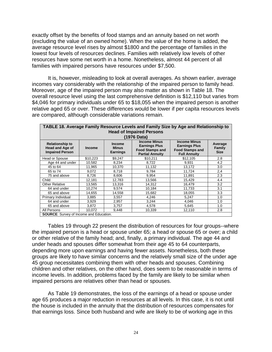exactly offset by the benefits of food stamps and an annuity based on net worth (excluding the value of an owned home). When the value of the home is added, the average resource level rises by almost \$1800 and the percentage of families in the lowest four levels of resources declines. Families with relatively low levels of other resources have some net worth in a home. Nonetheless, almost 44 percent of all families with impaired persons have resources under \$7,500.

It is, however, misleading to look at overall averages. As shown earlier, average incomes vary considerably with the relationship of the impaired person to family head. Moreover, age of the impaired person may also matter as shown in Table 18. The overall resource level using the last comprehensive definition is \$12,110 but varies from \$4,046 for primary individuals under 65 to \$18,055 when the impaired person is another relative aged 65 or over. These differences would be lower if per capita resources levels are compared, although considerable variations remain.

| TABLE 18. Average Family Resource Levels and Family Size by Age and Relationship to<br><b>Head of Impaired Persons</b> |                                                 |                                                  |                                                                                                 |                                                                                              |                                  |  |  |
|------------------------------------------------------------------------------------------------------------------------|-------------------------------------------------|--------------------------------------------------|-------------------------------------------------------------------------------------------------|----------------------------------------------------------------------------------------------|----------------------------------|--|--|
|                                                                                                                        |                                                 |                                                  | (1976 Data)                                                                                     |                                                                                              |                                  |  |  |
| <b>Relationship to</b><br><b>Head and Age of</b><br><b>Impaired Person</b>                                             | <b>Income</b>                                   | <b>Income</b><br><b>Minus</b><br><b>Earnings</b> | <b>Income Minus</b><br><b>Earnings Plus</b><br><b>Food Stamps and</b><br><b>Partial Annuity</b> | <b>Income Minus</b><br><b>Earnings Plus</b><br><b>Food Stamps and</b><br><b>Full Annuity</b> | Average<br>Family<br><b>Size</b> |  |  |
| Head or Spouse                                                                                                         | \$10,223                                        | \$9,247                                          | \$10,211                                                                                        | \$12,105                                                                                     | 2.8                              |  |  |
| Age 44 and under                                                                                                       | 10,582                                          | 8,234                                            | 8,722                                                                                           | 9,931                                                                                        | 4.2                              |  |  |
| 45 to 64                                                                                                               | 11,965                                          | 10,370                                           | 11,132                                                                                          | 13,172                                                                                       | 3.0                              |  |  |
| 65 to 74                                                                                                               | 9,072                                           | 8,718                                            | 9,784                                                                                           | 11,724                                                                                       | 2,4                              |  |  |
| 75 and above                                                                                                           | 8,726                                           | 8,606                                            | 9,954                                                                                           | 11,891                                                                                       | 2.3                              |  |  |
| Child                                                                                                                  | 12,181                                          | 12,783                                           | 13,566                                                                                          | 15.429                                                                                       | 4.4                              |  |  |
| <b>Other Relative</b>                                                                                                  | 13,565                                          | 13.316                                           | 14,312                                                                                          | 16.479                                                                                       | 3.2                              |  |  |
| 64 and under                                                                                                           | 10,274                                          | 9,574                                            | 10,184                                                                                          | 11,733                                                                                       | 3.1                              |  |  |
| 65 and above                                                                                                           | 14.655                                          | 14,558                                           | 15,682                                                                                          | 18,055                                                                                       | 3.3                              |  |  |
| Primary Individual                                                                                                     | 3,885                                           | 3,557                                            | 4,246                                                                                           | 5,247                                                                                        | 1.0                              |  |  |
| 64 and under                                                                                                           | 3,929                                           | 2,957                                            | 3,244                                                                                           | 4,046                                                                                        | 1.0                              |  |  |
| 65 and above                                                                                                           | 3,872                                           | 3,757                                            | 4,578                                                                                           | 5,645                                                                                        | 1.0                              |  |  |
| All Persons<br>$\sim$<br>.                                                                                             | 10,072<br>$\mathbf{r}$ . The state $\mathbf{r}$ | 9,448                                            | 10,339                                                                                          | 12,110                                                                                       | 2.8                              |  |  |

**SOURCE:** Survey of Income and Education.

Tables 19 through 22 present the distribution of resources for four groups--where the impaired person is a head or spouse under 65; a head or spouse 65 or over; a child or other relative of the family head; and, finally, a primary individual. The age 44 and under heads and spouses differ somewhat from their age 45 to 64 counterparts, depending more upon earnings and having fewer assets. Nonetheless, both these groups are likely to have similar concerns and the relatively small size of the under age 45 group necessitates combining them with other heads and spouses. Combining children and other relatives, on the other hand, does seem to be reasonable in terms of income levels. In addition, problems faced by the family are likely to be similar when impaired persons are relatives other than head or spouses.

As Table 19 demonstrates, the loss of the earnings of a head or spouse under age 65 produces a major reduction in resources at all levels. In this case, it is not until the house is included in the annuity that the distribution of resources compensates for that earnings loss. Since both husband and wife are likely to be of working age in this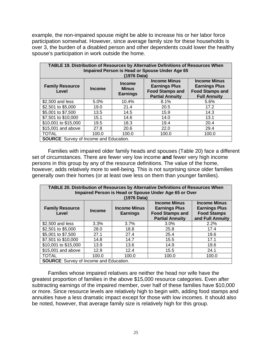example, the non-impaired spouse might be able to increase his or her labor force participation somewhat. However, since average family size for these households is over 3, the burden of a disabled person and other dependents could lower the healthy spouse's participation in work outside the home.

| TABLE 19. Distribution of Resources by Alternative Definitions of Resources When<br>Impaired Person is Head or Spouse Under Age 65<br>(1976 Data) |                                                                                                                                                                                                                                                               |       |       |       |  |  |  |
|---------------------------------------------------------------------------------------------------------------------------------------------------|---------------------------------------------------------------------------------------------------------------------------------------------------------------------------------------------------------------------------------------------------------------|-------|-------|-------|--|--|--|
| <b>Family Resource</b><br>Level                                                                                                                   | <b>Income Minus</b><br><b>Income Minus</b><br><b>Income</b><br><b>Earnings Plus</b><br><b>Earnings Plus</b><br><b>Minus</b><br>Income<br><b>Food Stamps and</b><br><b>Food Stamps and</b><br><b>Earnings</b><br><b>Partial Annuity</b><br><b>Full Annuity</b> |       |       |       |  |  |  |
| \$2,500 and less                                                                                                                                  | 5.0%                                                                                                                                                                                                                                                          | 10.4% | 8.1%  | 5.6%  |  |  |  |
| \$2,501 to \$5,000                                                                                                                                | 19.0                                                                                                                                                                                                                                                          | 21.4  | 20.5  | 17.2  |  |  |  |
| \$5,001 to \$7,500                                                                                                                                | 13.5                                                                                                                                                                                                                                                          | 14.5  | 15.9  | 14.3  |  |  |  |
| \$7,501 to \$10,000                                                                                                                               | 15.1                                                                                                                                                                                                                                                          | 14.6  | 14.0  | 13.1  |  |  |  |
| \$10,001 to \$15,000                                                                                                                              | 19.5                                                                                                                                                                                                                                                          | 18.3  | 19.4  | 20.4  |  |  |  |
| \$15,001 and above                                                                                                                                | 27.8                                                                                                                                                                                                                                                          | 20.6  | 22.0  | 29.4  |  |  |  |
| <b>TOTAL</b>                                                                                                                                      | 100.0                                                                                                                                                                                                                                                         | 100.0 | 100.0 | 100.0 |  |  |  |
| <b>SOURCE:</b> Survey of Income and Education.                                                                                                    |                                                                                                                                                                                                                                                               |       |       |       |  |  |  |

Families with impaired older family heads and spouses (Table 20) face a different set of circumstances. There are fewer very low income **and** fewer very high income persons in this group by any of the resource definitions. The value of the home, however, adds relatively more to well-being. This is not surprising since older families generally own their homes (or at least owe less on them than younger families).

| <b>TABLE 20. Distribution of Resources by Alternative Definitions of Resources When</b><br>Impaired Person is Head or Spouse Under Age 65 or Over<br>(1976 Data) |                                                                                                                                                                                                                                                     |       |         |       |  |  |  |
|------------------------------------------------------------------------------------------------------------------------------------------------------------------|-----------------------------------------------------------------------------------------------------------------------------------------------------------------------------------------------------------------------------------------------------|-------|---------|-------|--|--|--|
| <b>Family Resource</b><br>Level                                                                                                                                  | <b>Income Minus</b><br><b>Income Minus</b><br><b>Earnings Plus</b><br><b>Income Minus</b><br><b>Earnings Plus</b><br><b>Income</b><br><b>Food Stamps and</b><br><b>Food Stamps</b><br><b>Earnings</b><br><b>Partial Annuity</b><br>and Full Annuity |       |         |       |  |  |  |
| \$2,500 and less                                                                                                                                                 | 3.3%                                                                                                                                                                                                                                                | 3.7%  | $3.0\%$ | 2.2%  |  |  |  |
| \$2,501 to \$5,000                                                                                                                                               | 28.0                                                                                                                                                                                                                                                | 18.8  | 25.8    | 17.4  |  |  |  |
| \$5,001 to \$7,500                                                                                                                                               | 27.1                                                                                                                                                                                                                                                | 27.4  | 25.4    | 19.6  |  |  |  |
| \$7,501 to \$10,000                                                                                                                                              | 14.8                                                                                                                                                                                                                                                | 14.7  | 15.5    | 17.1  |  |  |  |
| \$10,001 to \$15,000                                                                                                                                             | 13.9                                                                                                                                                                                                                                                | 13.6  | 14.9    | 19.6  |  |  |  |
| \$15,001 and above                                                                                                                                               | 12.9                                                                                                                                                                                                                                                | 12.4  | 15.5    | 24.1  |  |  |  |
| <b>TOTAL</b>                                                                                                                                                     | 100.0                                                                                                                                                                                                                                               | 100.0 | 100.0   | 100.0 |  |  |  |
| <b>SOURCE:</b> Survey of Income and Education.                                                                                                                   |                                                                                                                                                                                                                                                     |       |         |       |  |  |  |

Families whose impaired relatives are neither the head nor wife have the greatest proportion of families in the above \$15,000 resource categories. Even after subtracting earnings of the impaired member, over half of these families have \$10,000 or more. Since resource levels are relatively high to begin with, adding food stamps and annuities have a less dramatic impact except for those with low incomes. It should also be noted, however, that average family size is relatively high for this group.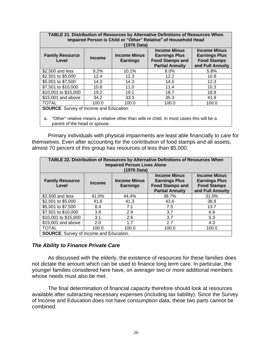| <b>TABLE 21. Distribution of Resources by Alternative Definitions of Resources When</b><br>Impaired Person is Child or "Other" Relative <sup>a</sup> of Household Head                                                                                                                 |         |             |         |      |  |  |  |
|----------------------------------------------------------------------------------------------------------------------------------------------------------------------------------------------------------------------------------------------------------------------------------------|---------|-------------|---------|------|--|--|--|
|                                                                                                                                                                                                                                                                                        |         | (1976 Data) |         |      |  |  |  |
| <b>Income Minus</b><br><b>Income Minus</b><br><b>Income Minus</b><br><b>Earnings Plus</b><br><b>Earnings Plus</b><br><b>Family Resource</b><br><b>Income</b><br><b>Food Stamps and</b><br><b>Food Stamps</b><br>Level<br><b>Earnings</b><br>and Full Annuity<br><b>Partial Annuity</b> |         |             |         |      |  |  |  |
| \$2,500 and less                                                                                                                                                                                                                                                                       | $9.2\%$ | 10.1%       | $8.0\%$ | 5.8% |  |  |  |
| \$2,501 to \$5,000                                                                                                                                                                                                                                                                     | 12.4    | 12.3        | 12.2    | 10.9 |  |  |  |
| \$5,001 to \$7,500                                                                                                                                                                                                                                                                     | 14.3    | 14.3        | 14.5    | 12.3 |  |  |  |
| \$7,501 to \$10,000                                                                                                                                                                                                                                                                    | 10.8    | 11.0        | 11.4    | 10.3 |  |  |  |
| \$10,001 to \$15,000                                                                                                                                                                                                                                                                   | 19.2    | 19.1        | 18.7    | 18.9 |  |  |  |
| \$15,001 and above                                                                                                                                                                                                                                                                     | 34.2    | 33.3        | 35.3    | 41.9 |  |  |  |
| <b>TOTAL</b><br>100.0<br>100.0<br>100.0<br>100.0                                                                                                                                                                                                                                       |         |             |         |      |  |  |  |
| <b>SOURCE:</b> Survey of Income and Education.                                                                                                                                                                                                                                         |         |             |         |      |  |  |  |

a. "Other" relative means a relative other than wife or child. In most cases this will be a parent of the head or spouse.

Primary individuals with physical impairments are least able financially to care for themselves. Even after accounting for the contribution of food stamps and all assets, almost 70 percent of this group has resources of less than \$5,000.

| TABLE 22. Distribution of Resources by Alternative Definitions of Resources When<br><b>Impaired Person Lives Alone</b><br>(1976 Data) |               |                                        |                                                                                                 |                                                                                       |
|---------------------------------------------------------------------------------------------------------------------------------------|---------------|----------------------------------------|-------------------------------------------------------------------------------------------------|---------------------------------------------------------------------------------------|
| <b>Family Resource</b><br>Level                                                                                                       | <b>Income</b> | <b>Income Minus</b><br><b>Earnings</b> | <b>Income Minus</b><br><b>Earnings Plus</b><br><b>Food Stamps and</b><br><b>Partial Annuity</b> | <b>Income Minus</b><br><b>Earnings Plus</b><br><b>Food Stamps</b><br>and Full Annuity |
| \$2,500 and less                                                                                                                      | 41.0%         | 44.4%                                  | 38.7%                                                                                           | 31.0%                                                                                 |
| \$2,501 to \$5,000                                                                                                                    | 41.6          | 41.3                                   | 43.6                                                                                            | 38.8                                                                                  |
| \$5,001 to \$7,500                                                                                                                    | 8.4           | 7.1                                    | 7.5                                                                                             | 13.7                                                                                  |
| \$7,501 to \$10,000                                                                                                                   | 3.8           | 2.9                                    | 3.7                                                                                             | 6.9                                                                                   |
| \$10,001 to \$15,000                                                                                                                  | 3.1           | 2.6                                    | 3.7                                                                                             | 5.3                                                                                   |
| \$15,001 and above                                                                                                                    | 2.0           | 1.7                                    | 2.7                                                                                             | 4.3                                                                                   |
| <b>TOTAL</b>                                                                                                                          | 100.0         | 100.0                                  | 100.0                                                                                           | 100.0                                                                                 |
| <b>SOURCE:</b> Survey of Income and Education.                                                                                        |               |                                        |                                                                                                 |                                                                                       |

#### *The Ability to Finance Private Care*

As discussed with the elderly, the existence of resources for these families does not dictate the amount which can be used to finance long term care. In particular, the younger families considered here have, on averager two or more additional members whose needs must also be met.

The final determination of financial capacity therefore should look at resources available after subtracting necessary expenses (including tax liability). Since the Survey of Income and Education does not have consumption data, these two parts cannot be combined.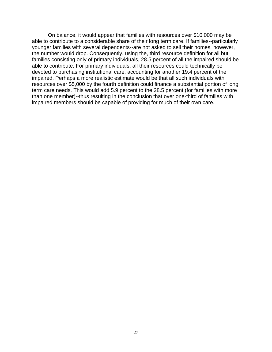On balance, it would appear that families with resources over \$10,000 may be able to contribute to a considerable share of their long term care. If families--particularly younger families with several dependents--are not asked to sell their homes, however, the number would drop. Consequently, using the, third resource definition for all but families consisting only of primary individuals, 28.5 percent of all the impaired should be able to contribute. For primary individuals, all their resources could technically be devoted to purchasing institutional care, accounting for another 19.4 percent of the impaired. Perhaps a more realistic estimate would be that all such individuals with resources over \$5,000 by the fourth definition could finance a substantial portion of long term care needs. This would add 5.9 percent to the 28.5 percent (for families with more than one member)--thus resulting in the conclusion that over one-third of families with impaired members should be capable of providing for much of their own care.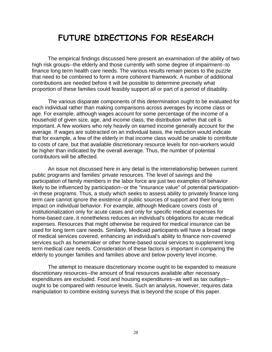## **FUTURE DIRECTIONS FOR RESEARCH**

The empirical findings discussed here present an examination of the ability of two high risk groups--the elderly and those currently with some degree of impairment--to finance long term health care needs. The various results remain pieces to the puzzle that need to be combined to form a more coherent framework. A number of additional contributions are needed before it will be possible to determine precisely what proportion of these families could feasibly support all or part of a period of disability.

The various disparate components of this determination ought to be evaluated for each individual rather than making comparisons across averages by income class or age. For example, although wages account for some percentage of the income of a household of given size, age, and income class, the distribution within that cell is important. A few workers who rely heavily on earned income generally account for the average. If wages are subtracted on an individual basis, the reduction would indicate that for example, a few of the elderly in that income class would be unable to contribute to costs of care, but that available discretionary resource levels for non-workers would be higher than indicated by the overall average. Thus, the number of potential contributors will be affected.

An issue not discussed here in any detail is the interrelationship between current public programs and families' private resources. The level of savings and the participation of family members in the labor force are just two examples of behavior likely to be influenced by participation--or the "insurance value" of potential participation- -in these programs. Thus, a study which seeks to assess ability to privately finance long term care cannot ignore the existence of public sources of support and their long term impact on individual behavior. For example, although Medicare covers costs of institutionalization only for acute cases and only for specific medical expenses for home-based care, it nonetheless reduces an individual's obligations for acute medical expenses. Resources that might otherwise be required for medical insurance can be used for long term care needs. Similarly, Medicaid participants will have a broad range of medical services covered, enhancing an individual's ability to finance non-covered services such as homemaker or other home-based social services to supplement long term medical care needs. Consideration of these factors is important in comparing the elderly to younger families and families above and below poverty level income.

The attempt to measure discretionary income ought to be expanded to measure discretionary resources--the amount of final resources available after necessary expenditures are excluded. Food and housing expenditures--as well as tax outlays- ought to be compared with resource levels. Such an analysis, however, requires data manipulation to combine existing surveys that is beyond the scope of this paper.